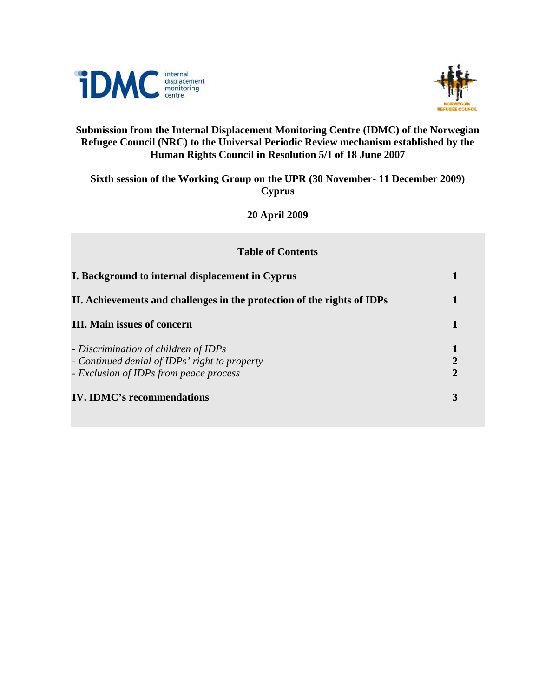



## **Submission from the Internal Displacement Monitoring Centre (IDMC) of the Norwegian Refugee Council (NRC) to the Universal Periodic Review mechanism established by the Human Rights Council in Resolution 5/1 of 18 June 2007**

## **Sixth session of the Working Group on the UPR (30 November- 11 December 2009) Cyprus**

**20 April 2009** 

| <b>Table of Contents</b>                                                                                                        |                                  |
|---------------------------------------------------------------------------------------------------------------------------------|----------------------------------|
| I. Background to internal displacement in Cyprus                                                                                | 1                                |
| II. Achievements and challenges in the protection of the rights of IDPs                                                         | 1                                |
| <b>III.</b> Main issues of concern                                                                                              | 1                                |
| - Discrimination of children of IDPs<br>- Continued denial of IDPs' right to property<br>- Exclusion of IDPs from peace process | $\overline{2}$<br>$\overline{2}$ |
| <b>IV. IDMC's recommendations</b>                                                                                               | 3                                |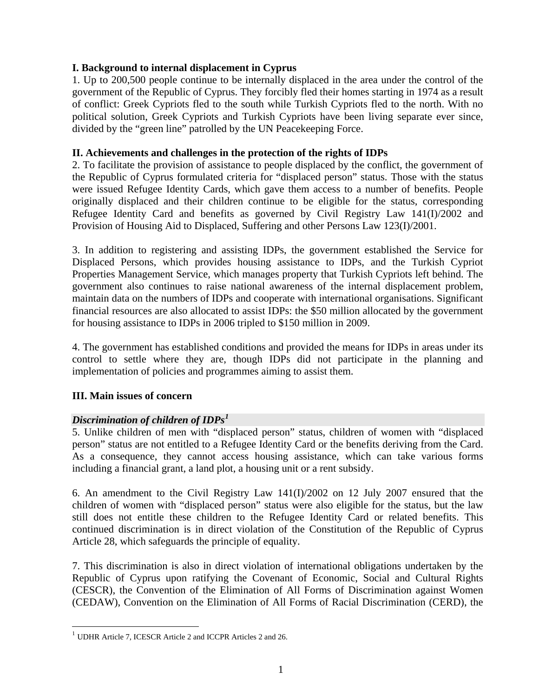## **I. Background to internal displacement in Cyprus**

1. Up to 200,500 people continue to be internally displaced in the area under the control of the government of the Republic of Cyprus. They forcibly fled their homes starting in 1974 as a result of conflict: Greek Cypriots fled to the south while Turkish Cypriots fled to the north. With no political solution, Greek Cypriots and Turkish Cypriots have been living separate ever since, divided by the "green line" patrolled by the UN Peacekeeping Force.

## **II. Achievements and challenges in the protection of the rights of IDPs**

2. To facilitate the provision of assistance to people displaced by the conflict, the government of the Republic of Cyprus formulated criteria for "displaced person" status. Those with the status were issued Refugee Identity Cards, which gave them access to a number of benefits. People originally displaced and their children continue to be eligible for the status, corresponding Refugee Identity Card and benefits as governed by Civil Registry Law 141(I)/2002 and Provision of Housing Aid to Displaced, Suffering and other Persons Law 123(I)/2001.

3. In addition to registering and assisting IDPs, the government established the Service for Displaced Persons, which provides housing assistance to IDPs, and the Turkish Cypriot Properties Management Service, which manages property that Turkish Cypriots left behind. The government also continues to raise national awareness of the internal displacement problem, maintain data on the numbers of IDPs and cooperate with international organisations. Significant financial resources are also allocated to assist IDPs: the \$50 million allocated by the government for housing assistance to IDPs in 2006 tripled to \$150 million in 2009.

4. The government has established conditions and provided the means for IDPs in areas under its control to settle where they are, though IDPs did not participate in the planning and implementation of policies and programmes aiming to assist them.

## **III. Main issues of concern**

1

## *Discrimination of children of IDPs[1](#page-1-0)*

5. Unlike children of men with "displaced person" status, children of women with "displaced person" status are not entitled to a Refugee Identity Card or the benefits deriving from the Card. As a consequence, they cannot access housing assistance, which can take various forms including a financial grant, a land plot, a housing unit or a rent subsidy.

6. An amendment to the Civil Registry Law 141(I)/2002 on 12 July 2007 ensured that the children of women with "displaced person" status were also eligible for the status, but the law still does not entitle these children to the Refugee Identity Card or related benefits. This continued discrimination is in direct violation of the Constitution of the Republic of Cyprus Article 28, which safeguards the principle of equality.

7. This discrimination is also in direct violation of international obligations undertaken by the Republic of Cyprus upon ratifying the Covenant of Economic, Social and Cultural Rights (CESCR), the Convention of the Elimination of All Forms of Discrimination against Women (CEDAW), Convention on the Elimination of All Forms of Racial Discrimination (CERD), the

<span id="page-1-0"></span><sup>1</sup> UDHR Article 7, ICESCR Article 2 and ICCPR Articles 2 and 26.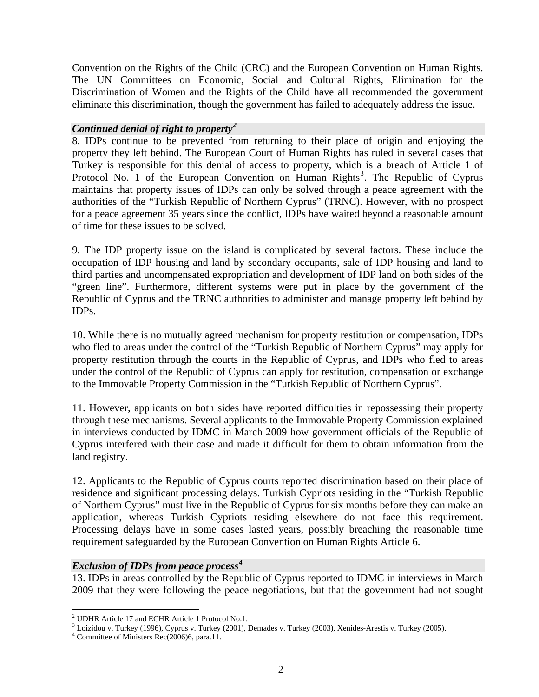Convention on the Rights of the Child (CRC) and the European Convention on Human Rights. The UN Committees on Economic, Social and Cultural Rights, Elimination for the Discrimination of Women and the Rights of the Child have all recommended the government eliminate this discrimination, though the government has failed to adequately address the issue.

### *Continued denial of right to property[2](#page-2-0)*

8. IDPs continue to be prevented from returning to their place of origin and enjoying the property they left behind. The European Court of Human Rights has ruled in several cases that Turkey is responsible for this denial of access to property, which is a breach of Article 1 of Protocol No. 1 of the European Convention on Human Rights<sup>[3](#page-2-1)</sup>. The Republic of Cyprus maintains that property issues of IDPs can only be solved through a peace agreement with the authorities of the "Turkish Republic of Northern Cyprus" (TRNC). However, with no prospect for a peace agreement 35 years since the conflict, IDPs have waited beyond a reasonable amount of time for these issues to be solved.

9. The IDP property issue on the island is complicated by several factors. These include the occupation of IDP housing and land by secondary occupants, sale of IDP housing and land to third parties and uncompensated expropriation and development of IDP land on both sides of the "green line". Furthermore, different systems were put in place by the government of the Republic of Cyprus and the TRNC authorities to administer and manage property left behind by IDPs.

10. While there is no mutually agreed mechanism for property restitution or compensation, IDPs who fled to areas under the control of the "Turkish Republic of Northern Cyprus" may apply for property restitution through the courts in the Republic of Cyprus, and IDPs who fled to areas under the control of the Republic of Cyprus can apply for restitution, compensation or exchange to the Immovable Property Commission in the "Turkish Republic of Northern Cyprus".

11. However, applicants on both sides have reported difficulties in repossessing their property through these mechanisms. Several applicants to the Immovable Property Commission explained in interviews conducted by IDMC in March 2009 how government officials of the Republic of Cyprus interfered with their case and made it difficult for them to obtain information from the land registry.

12. Applicants to the Republic of Cyprus courts reported discrimination based on their place of residence and significant processing delays. Turkish Cypriots residing in the "Turkish Republic of Northern Cyprus" must live in the Republic of Cyprus for six months before they can make an application, whereas Turkish Cypriots residing elsewhere do not face this requirement. Processing delays have in some cases lasted years, possibly breaching the reasonable time requirement safeguarded by the European Convention on Human Rights Article 6.

### *Exclusion of IDPs from peace process[4](#page-2-2)*

13. IDPs in areas controlled by the Republic of Cyprus reported to IDMC in interviews in March 2009 that they were following the peace negotiations, but that the government had not sought

1

<span id="page-2-0"></span><sup>&</sup>lt;sup>2</sup> UDHR Article 17 and ECHR Article 1 Protocol No.1.<br><sup>3</sup> Leizidou y Turkov (1006), Cynrus y Turkov (2001), I

<span id="page-2-1"></span><sup>&</sup>lt;sup>3</sup> Loizidou v. Turkey (1996), Cyprus v. Turkey (2001), Demades v. Turkey (2003), Xenides-Arestis v. Turkey (2005).

<span id="page-2-2"></span> $4$  Committee of Ministers Rec(2006)6, para.11.